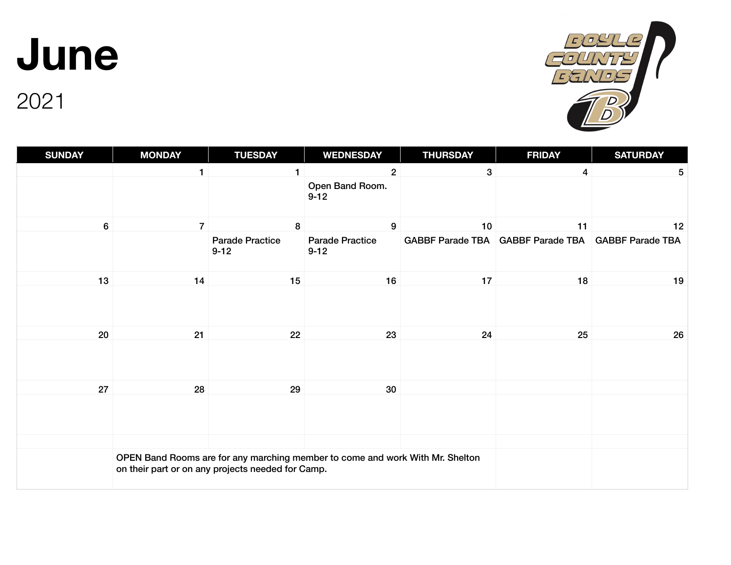**June** 

#### **SUNDAY MONDAY TUESDAY WEDNESDAY THURSDAY FRIDAY SATURDAY** 1  $1$   $2$   $3$   $4$   $5$ Open Band Room.  $9 - 12$ 6 7 8 9 10 11 12 Parade Practice 9-12 Parade Practice 9-12 GABBF Parade TBA GABBF Parade TBA GABBF Parade TBA 13 14 15 16 17 18 19 20 21 22 23 24 25 26 26 27 28 29 30 OPEN Band Rooms are for any marching member to come and work With Mr. Shelton

on their part or on any projects needed for Camp.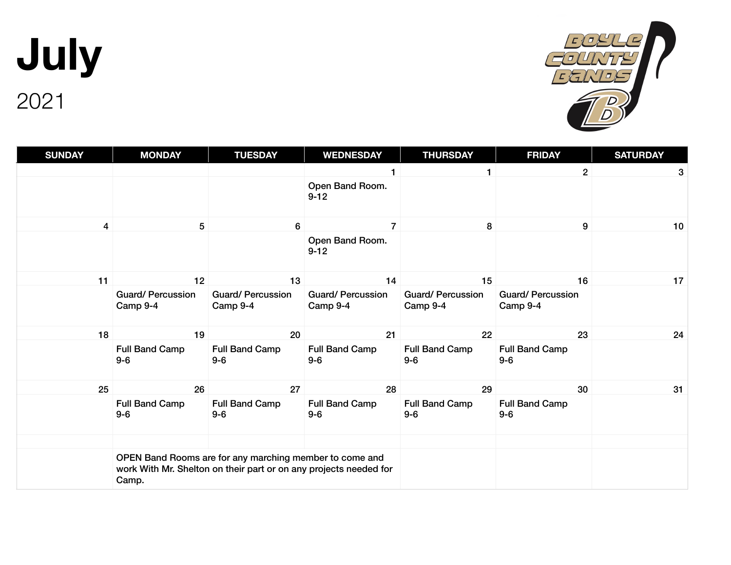**July** 2021



| <b>SUNDAY</b>  | <b>MONDAY</b>                                                                                                                         | <b>TUESDAY</b>                      | <b>WEDNESDAY</b>                    | <b>THURSDAY</b>                     | <b>FRIDAY</b>                       | <b>SATURDAY</b> |
|----------------|---------------------------------------------------------------------------------------------------------------------------------------|-------------------------------------|-------------------------------------|-------------------------------------|-------------------------------------|-----------------|
|                |                                                                                                                                       |                                     |                                     |                                     | $\overline{2}$                      | 3               |
|                |                                                                                                                                       |                                     | Open Band Room.<br>$9 - 12$         |                                     |                                     |                 |
| $\overline{4}$ | $5\phantom{.0}$                                                                                                                       | 6                                   | $\overline{7}$                      | 8                                   | 9                                   | 10              |
|                |                                                                                                                                       |                                     | Open Band Room.<br>$9 - 12$         |                                     |                                     |                 |
| 11             | 12                                                                                                                                    | 13                                  | 14                                  | 15                                  | 16                                  | 17              |
|                | <b>Guard/Percussion</b><br>Camp 9-4                                                                                                   | <b>Guard/Percussion</b><br>Camp 9-4 | <b>Guard/Percussion</b><br>Camp 9-4 | <b>Guard/Percussion</b><br>Camp 9-4 | <b>Guard/Percussion</b><br>Camp 9-4 |                 |
| 18             | 19                                                                                                                                    | 20                                  | 21                                  | 22                                  | 23                                  | 24              |
|                | <b>Full Band Camp</b><br>$9-6$                                                                                                        | Full Band Camp<br>$9-6$             | <b>Full Band Camp</b><br>$9-6$      | <b>Full Band Camp</b><br>$9-6$      | <b>Full Band Camp</b><br>$9-6$      |                 |
| 25             | 26                                                                                                                                    | 27                                  | 28                                  | 29                                  | 30                                  | 31              |
|                | Full Band Camp<br>$9-6$                                                                                                               | Full Band Camp<br>$9-6$             | <b>Full Band Camp</b><br>$9-6$      | <b>Full Band Camp</b><br>$9-6$      | <b>Full Band Camp</b><br>$9-6$      |                 |
|                |                                                                                                                                       |                                     |                                     |                                     |                                     |                 |
|                | OPEN Band Rooms are for any marching member to come and<br>work With Mr. Shelton on their part or on any projects needed for<br>Camp. |                                     |                                     |                                     |                                     |                 |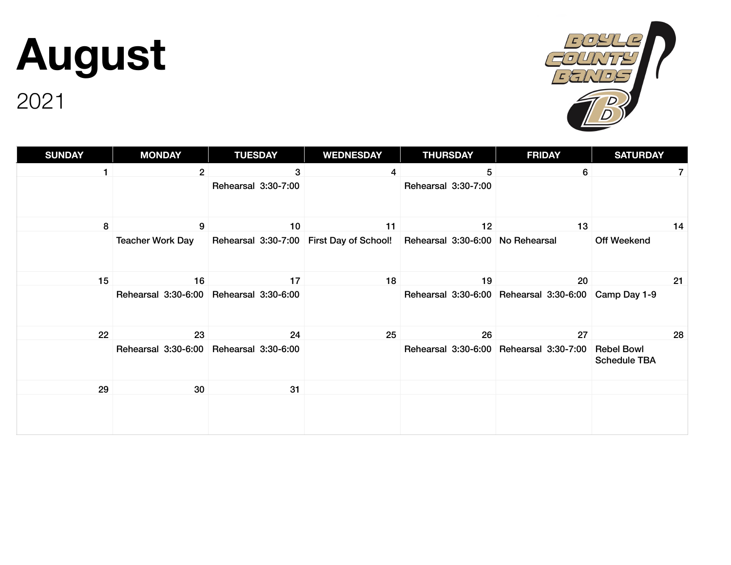# **August**

2021

**SUNDAY MONDAY TUESDAY WEDNESDAY THURSDAY FRIDAY SATURDAY** 1 and 2 3 3 4 5 5 6 7 7 Rehearsal 3:30-7:00 Rehearsal 3:30-7:00 8 9 10 11 12 13 14 Teacher Work Day Rehearsal 3:30-7:00 First Day of School! Rehearsal 3:30-6:00 No Rehearsal Off Weekend 15 16 17 18 19 20 21 Rehearsal 3:30-6:00 Rehearsal 3:30-6:00 Rehearsal 3:30-6:00 Rehearsal 3:30-6:00 Camp Day 1-9 22 23 24 25 26 27 28 Rehearsal 3:30-6:00 Rehearsal 3:30-6:00 Rehearsal 3:30-6:00 Rehearsal 3:30-7:00 Rebel Bowl Schedule TBA 29 30 31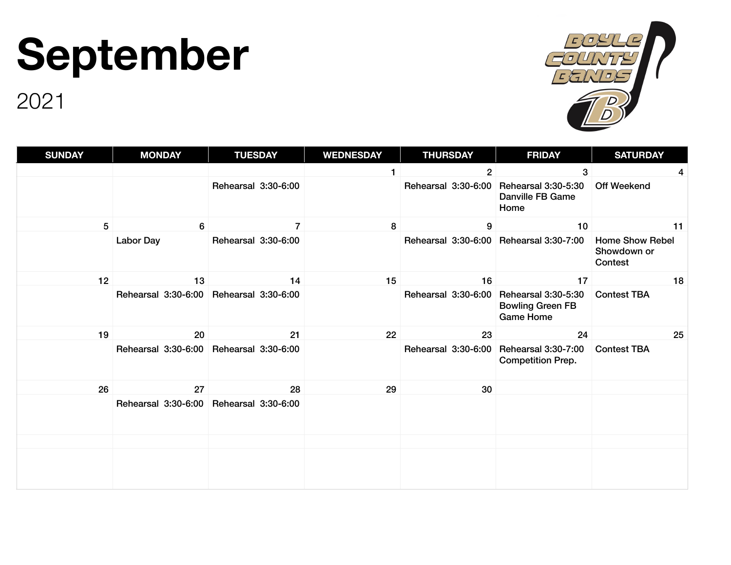## **September**



| <b>SUNDAY</b> | <b>MONDAY</b>                           | <b>TUESDAY</b>      | <b>WEDNESDAY</b> | <b>THURSDAY</b>                         | <b>FRIDAY</b>                                                             | <b>SATURDAY</b>                                  |
|---------------|-----------------------------------------|---------------------|------------------|-----------------------------------------|---------------------------------------------------------------------------|--------------------------------------------------|
|               |                                         |                     |                  | $\mathbf{2}$                            | 3                                                                         | 4                                                |
|               |                                         | Rehearsal 3:30-6:00 |                  | Rehearsal 3:30-6:00                     | Rehearsal 3:30-5:30<br><b>Danville FB Game</b><br>Home                    | <b>Off Weekend</b>                               |
| 5             | 6                                       | $\overline{7}$      | 8                | $\boldsymbol{9}$                        | 10                                                                        | 11                                               |
|               | <b>Labor Day</b>                        | Rehearsal 3:30-6:00 |                  | Rehearsal 3:30-6:00 Rehearsal 3:30-7:00 |                                                                           | <b>Home Show Rebel</b><br>Showdown or<br>Contest |
| 12            | 13                                      | 14                  | 15               | 16                                      | 17                                                                        | 18                                               |
|               | Rehearsal 3:30-6:00 Rehearsal 3:30-6:00 |                     |                  | Rehearsal 3:30-6:00                     | <b>Rehearsal 3:30-5:30</b><br><b>Bowling Green FB</b><br><b>Game Home</b> | <b>Contest TBA</b>                               |
| 19            | 20                                      | 21                  | 22               | 23                                      | 24                                                                        | 25                                               |
|               | Rehearsal 3:30-6:00 Rehearsal 3:30-6:00 |                     |                  | Rehearsal 3:30-6:00                     | Rehearsal 3:30-7:00<br><b>Competition Prep.</b>                           | <b>Contest TBA</b>                               |
| 26            | 27                                      | 28                  | 29               | 30                                      |                                                                           |                                                  |
|               | Rehearsal 3:30-6:00                     | Rehearsal 3:30-6:00 |                  |                                         |                                                                           |                                                  |
|               |                                         |                     |                  |                                         |                                                                           |                                                  |
|               |                                         |                     |                  |                                         |                                                                           |                                                  |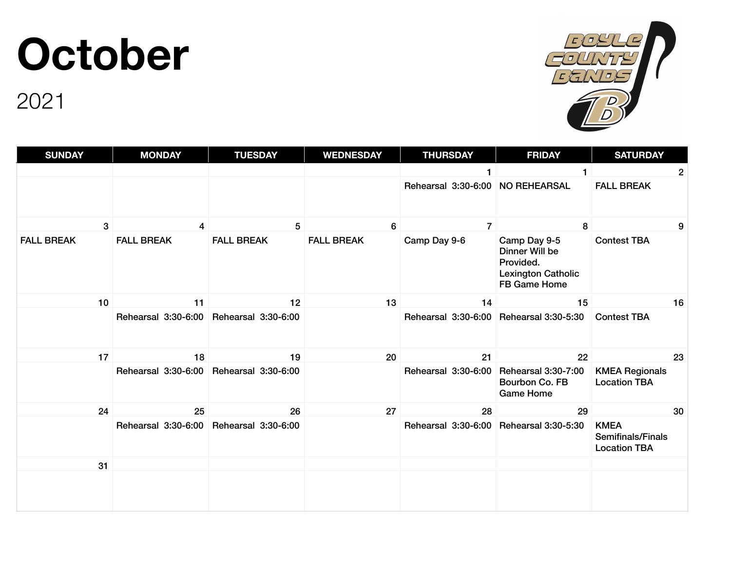#### **October**



| <b>SUNDAY</b>     | <b>MONDAY</b>       | <b>TUESDAY</b>      | <b>WEDNESDAY</b>  | <b>THURSDAY</b>                         | <b>FRIDAY</b>                                                                                   | <b>SATURDAY</b>                                                |
|-------------------|---------------------|---------------------|-------------------|-----------------------------------------|-------------------------------------------------------------------------------------------------|----------------------------------------------------------------|
|                   |                     |                     |                   |                                         |                                                                                                 | 2                                                              |
|                   |                     |                     |                   | Rehearsal 3:30-6:00                     | <b>NO REHEARSAL</b>                                                                             | <b>FALL BREAK</b>                                              |
| 3                 | $\overline{4}$      | 5                   | 6                 | $\overline{7}$                          | 8                                                                                               | 9                                                              |
| <b>FALL BREAK</b> | <b>FALL BREAK</b>   | <b>FALL BREAK</b>   | <b>FALL BREAK</b> | Camp Day 9-6                            | Camp Day 9-5<br>Dinner Will be<br>Provided.<br><b>Lexington Catholic</b><br><b>FB Game Home</b> | <b>Contest TBA</b>                                             |
| 10                | 11                  | 12                  | 13                | 14                                      | 15                                                                                              | 16                                                             |
|                   | Rehearsal 3:30-6:00 | Rehearsal 3:30-6:00 |                   | Rehearsal 3:30-6:00 Rehearsal 3:30-5:30 |                                                                                                 | <b>Contest TBA</b>                                             |
| 17                | 18                  | 19                  | 20                | 21                                      | 22                                                                                              | 23                                                             |
|                   | Rehearsal 3:30-6:00 | Rehearsal 3:30-6:00 |                   | Rehearsal 3:30-6:00                     | Rehearsal 3:30-7:00<br>Bourbon Co. FB<br><b>Game Home</b>                                       | <b>KMEA Regionals</b><br><b>Location TBA</b>                   |
| 24                | 25                  | 26                  | 27                | 28                                      | 29                                                                                              | 30                                                             |
|                   | Rehearsal 3:30-6:00 | Rehearsal 3:30-6:00 |                   | Rehearsal 3:30-6:00 Rehearsal 3:30-5:30 |                                                                                                 | <b>KMEA</b><br><b>Semifinals/Finals</b><br><b>Location TBA</b> |
| 31                |                     |                     |                   |                                         |                                                                                                 |                                                                |
|                   |                     |                     |                   |                                         |                                                                                                 |                                                                |